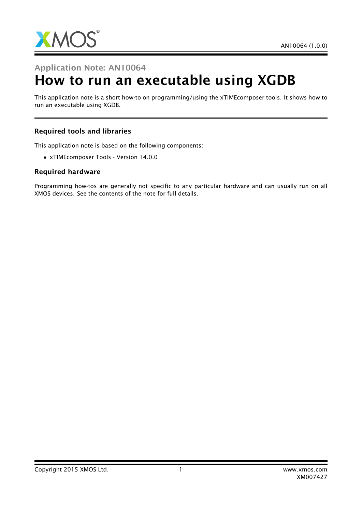

### Application Note: AN10064

# How to run an executable using XGDB

This application note is a short how-to on programming/using the xTIMEcomposer tools. It shows how to run an executable using XGDB.

#### Required tools and libraries

This application note is based on the following components:

• xTIMEcomposer Tools - Version 14.0.0

#### Required hardware

Programming how-tos are generally not specific to any particular hardware and can usually run on all XMOS devices. See the contents of the note for full details.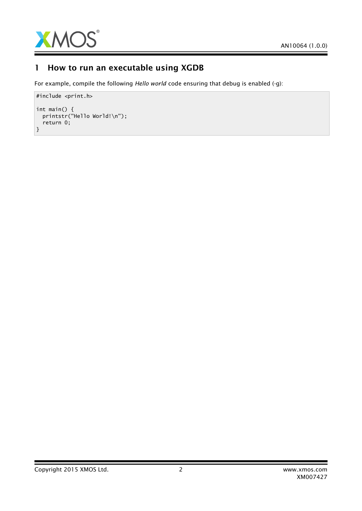

# 1 How to run an executable using XGDB

For example, compile the following *Hello world* code ensuring that debug is enabled (-g):

```
#include <print.h>
int main() {
  printstr("Hello World!\n");
  return 0;
}
```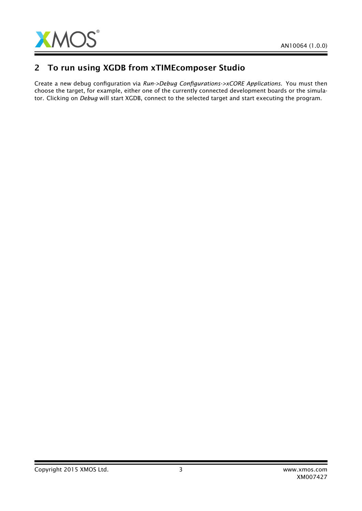

## 2 To run using XGDB from xTIMEcomposer Studio

Create a new debug configuration via *Run->Debug Configurations->xCORE Applications*. You must then choose the target, for example, either one of the currently connected development boards or the simulator. Clicking on *Debug* will start XGDB, connect to the selected target and start executing the program.